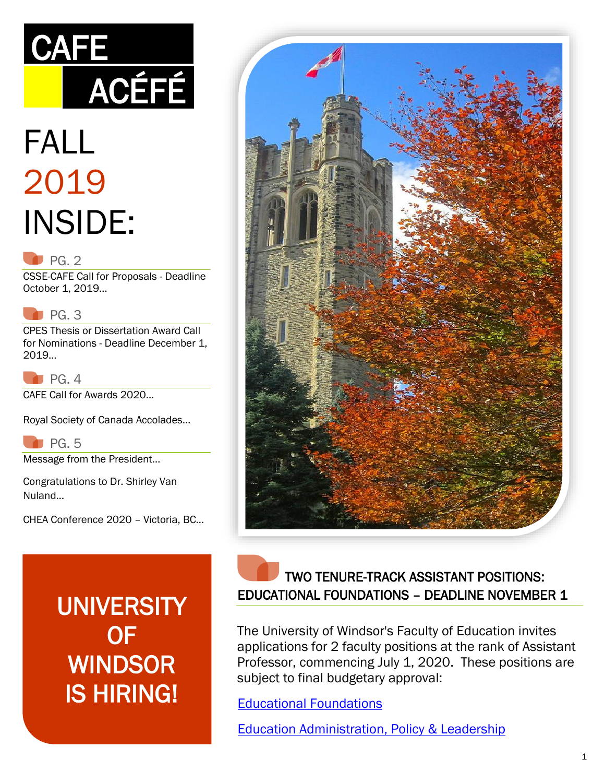# **CAFE** ACÉFÉ

# FALL 2019 INSIDE:

### $P$ G. 2

CSSE-CAFE Call for Proposals - Deadline October 1, 2019…

### $P$ G. 3

CPES Thesis or Dissertation Award Call for Nominations - Deadline December 1, 2019…

### $P$ G. 4

CAFE Call for Awards 2020…

Royal Society of Canada Accolades…

 PG. 5 Message from the President…

Congratulations to Dr. Shirley Van Nuland…

CHEA Conference 2020 – Victoria, BC…

**UNIVERSITY** OF **WINDSOR** IS HIRING!



## TWO TENURE-TRACK ASSISTANT POSITIONS: EDUCATIONAL FOUNDATIONS – DEADLINE NOVEMBER 1

The University of Windsor's Faculty of Education invites applications for 2 faculty positions at the rank of Assistant Professor, commencing July 1, 2020. These positions are subject to final budgetary approval:

### [Educational Foundations](http://www.uwindsor.ca/faculty/recruitment/531/tenure-track-assistant-professor-educational-foundations)

[Education Administration, Policy & Leadership](http://www.uwindsor.ca/faculty/recruitment/532/tenure-track-assistant-professor-educational-administration-policy-and-leadership)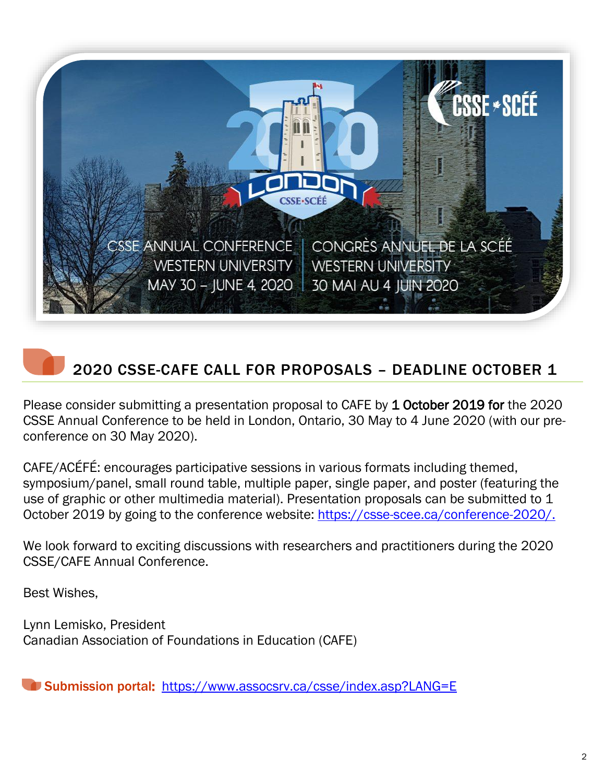

# 2020 CSSE-CAFE CALL FOR PROPOSALS – DEADLINE OCTOBER 1

Please consider submitting a presentation proposal to CAFE by 1 October 2019 for the 2020 CSSE Annual Conference to be held in London, Ontario, 30 May to 4 June 2020 (with our preconference on 30 May 2020).

CAFE/ACÉFÉ: encourages participative sessions in various formats including themed, symposium/panel, small round table, multiple paper, single paper, and poster (featuring the use of graphic or other multimedia material). Presentation proposals can be submitted to 1 October 2019 by going to the conference website: [https://csse-scee.ca/conference-2020/.](https://csse-scee.ca/conference-2020/)

We look forward to exciting discussions with researchers and practitioners during the 2020 CSSE/CAFE Annual Conference.

Best Wishes,

Lynn Lemisko, President Canadian Association of Foundations in Education (CAFE)

Submission portal: <https://www.assocsrv.ca/csse/index.asp?LANG=E>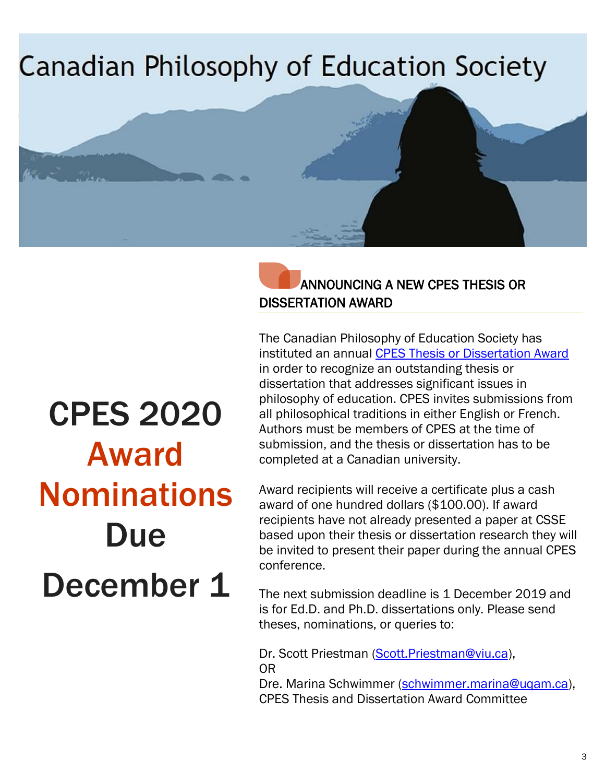#### 3

# Canadian Philosophy of Education Society

### ANNOUNCING A NEW CPES THESIS OR DISSERTATION AWARD

The Canadian Philosophy of Education Society has instituted an annual [CPES Thesis or Dissertation Award](https://drive.google.com/file/d/15NjooA5Jr2FAJ3J4iHUrpQQUqgrrxJFk/view) in order to recognize an outstanding thesis or dissertation that addresses significant issues in philosophy of education. CPES invites submissions from all philosophical traditions in either English or French. Authors must be members of CPES at the time of submission, and the thesis or dissertation has to be completed at a Canadian university.

Award recipients will receive a certificate plus a cash award of one hundred dollars (\$100.00). If award recipients have not already presented a paper at CSSE based upon their thesis or dissertation research they will be invited to present their paper during the annual CPES conference.

The next submission deadline is 1 December 2019 and is for Ed.D. and Ph.D. dissertations only. Please send theses, nominations, or queries to:

Dr. Scott Priestman [\(Scott.Priestman@viu.ca\)](file:///G:/CAFE/Fall%20Newsletter/Scott.Priestman@viu.ca), OR

Dre. Marina Schwimmer [\(schwimmer.marina@uqam.ca\)](file:///G:/CAFE/Fall%20Newsletter/schwimmer.marina@uqam.ca), CPES Thesis and Dissertation Award Committee

# CPES 2020 Award Nominations Due December 1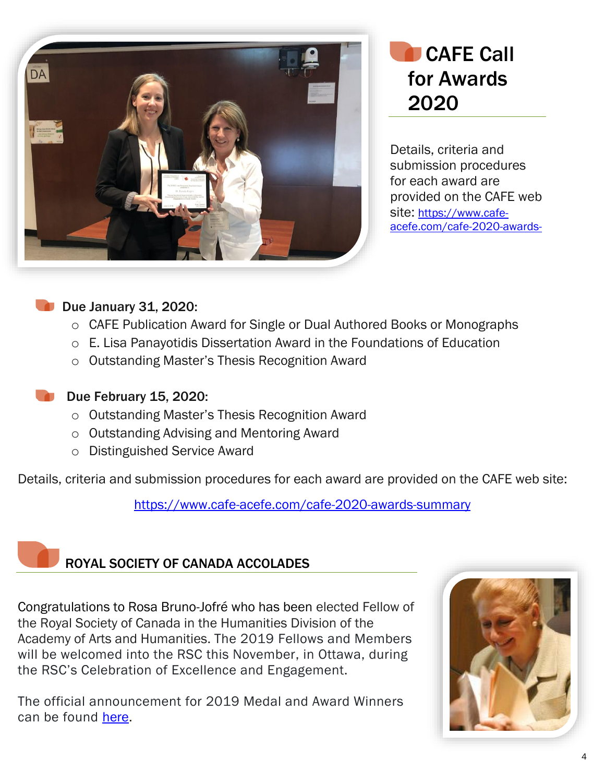

CAFE Call for Awards 2020

Details, criteria and submission procedures for each award are provided on the CAFE web site: [https://www.cafe](https://www.cafe-acefe.com/cafe-2020-awards-summary)[acefe.com/cafe-2020-awards-](https://www.cafe-acefe.com/cafe-2020-awards-summary)

### Due January 31, 2020:

- o CAFE Publication Award for Single or Dual Authored Books or Monographs
- o E. Lisa Panayotidis Dissertation Award in the Foundations of Education
- o Outstanding Master's Thesis Recognition Award



### Due February 15, 2020:

- o Outstanding Master's Thesis Recognition Award
- o Outstanding Advising and Mentoring Award
- o Distinguished Service Award

Details, criteria and submission procedures for each award are provided on the CAFE web site:

<https://www.cafe-acefe.com/cafe-2020-awards-summary>

## ROYAL SOCIETY OF CANADA ACCOLADES

Congratulations to Rosa Bruno-Jofré who has been elected Fellow of the Royal Society of Canada in the Humanities Division of the Academy of Arts and Humanities. The 2019 Fellows and Members will be welcomed into the RSC this November, in Ottawa, during the RSC's Celebration of Excellence and Engagement.

The official announcement for 2019 Medal and Award Winners can be found [here.](https://rsc-src.ca/sites/default/files/Class%20of%202019_0.pdf)